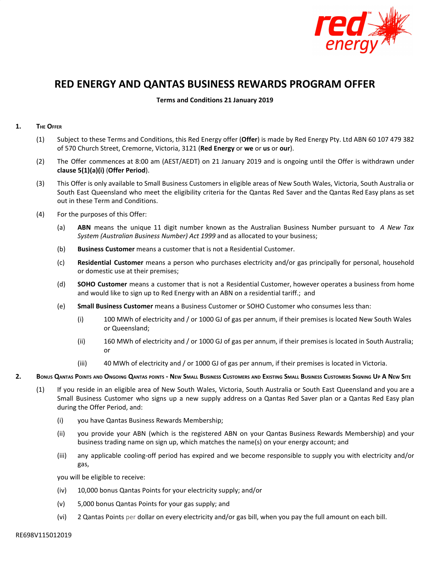

# **RED ENERGY AND QANTAS BUSINESS REWARDS PROGRAM OFFER**

## **Terms and Conditions 21 January 2019**

## **1. THE OFFER**

- (1) Subject to these Terms and Conditions, this Red Energy offer (**Offer**) is made by Red Energy Pty. Ltd ABN 60 107 479 382 of 570 Church Street, Cremorne, Victoria, 3121 (**Red Energy** or **we** or **us** or **our**).
- (2) The Offer commences at 8:00 am (AEST/AEDT) on 21 January 2019 and is ongoing until the Offer is withdrawn under **clause 5(1)(a)(i)** (**Offer Period**).
- (3) This Offer is only available to Small Business Customers in eligible areas of New South Wales, Victoria, South Australia or South East Queensland who meet the eligibility criteria for the Qantas Red Saver and the Qantas Red Easy plans as set out in these Term and Conditions.
- (4) For the purposes of this Offer:
	- (a) **ABN** means the unique 11 digit number known as the Australian Business Number pursuant to *A New Tax System (Australian Business Number) Act 1999* and as allocated to your business;
	- (b) **Business Customer** means a customer that is not a Residential Customer.
	- (c) **Residential Customer** means a person who purchases electricity and/or gas principally for personal, household or domestic use at their premises;
	- (d) **SOHO Customer** means a customer that is not a Residential Customer, however operates a business from home and would like to sign up to Red Energy with an ABN on a residential tariff.; and
	- (e) **Small Business Customer** means a Business Customer or SOHO Customer who consumes less than:
		- (i) 100 MWh of electricity and / or 1000 GJ of gas per annum, if their premises is located New South Wales or Queensland;
		- (ii) 160 MWh of electricity and / or 1000 GJ of gas per annum, if their premises is located in South Australia; or
		- (iii) 40 MWh of electricity and / or 1000 GJ of gas per annum, if their premises is located in Victoria.
- 2. BONUS QANTAS POINTS AND ONGOING QANTAS POINTS NEW SMALL BUSINESS CUSTOMERS AND EXISTING SMALL BUSINESS CUSTOMERS SIGNING UP A NEW SITE
	- (1) If you reside in an eligible area of New South Wales, Victoria, South Australia or South East Queensland and you are a Small Business Customer who signs up a new supply address on a Qantas Red Saver plan or a Qantas Red Easy plan during the Offer Period, and:
		- (i) you have Qantas Business Rewards Membership;
		- (ii) you provide your ABN (which is the registered ABN on your Qantas Business Rewards Membership) and your business trading name on sign up, which matches the name(s) on your energy account; and
		- (iii) any applicable cooling-off period has expired and we become responsible to supply you with electricity and/or gas,

you will be eligible to receive:

- (iv) 10,000 bonus Qantas Points for your electricity supply; and/or
- (v) 5,000 bonus Qantas Points for your gas supply; and
- (vi) 2 Qantas Points per dollar on every electricity and/or gas bill, when you pay the full amount on each bill.

RE698V115012019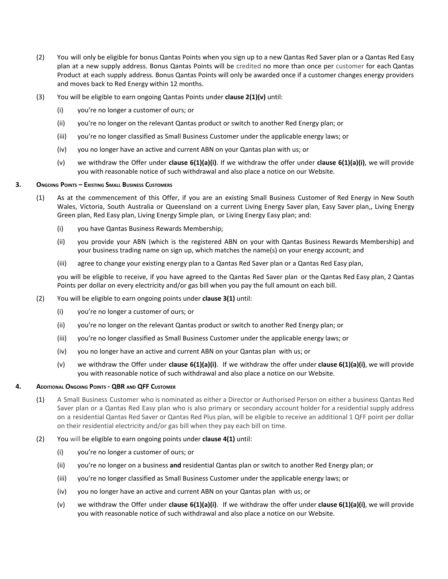- (2) You will only be eligible for bonus Qantas Points when you sign up to a new Qantas Red Saver plan or a Qantas Red Easy plan at a new supply address. Bonus Qantas Points will be credited no more than once per customer for each Qantas Product at each supply address. Bonus Qantas Points will only be awarded once if a customer changes energy providers and moves back to Red Energy within 12 months.
- (3) You will be eligible to earn ongoing Qantas Points under **clause 2(1)(v)** until:
	- (i) you're no longer a customer of ours; or
	- (ii) you're no longer on the relevant Qantas product or switch to another Red Energy plan; or
	- (iii) you're no longer classified as Small Business Customer under the applicable energy laws; or
	- (iv) you no longer have an active and current ABN on your Qantas plan with us; or
	- (v) we withdraw the Offer under **clause 6(1)(a)(i)**. If we withdraw the offer under **clause 6(1)(a)(i)**, we will provide you with reasonable notice of such withdrawal and also place a notice on our Website.

### **3. ONGOING POINTS – EXISTING SMALL BUSINESS CUSTOMERS**

- (1) As at the commencement of this Offer, if you are an existing Small Business Customer of Red Energy in New South Wales, Victoria, South Australia or Queensland on a current Living Energy Saver plan, Easy Saver plan,, Living Energy Green plan, Red Easy plan, Living Energy Simple plan, or Living Energy Easy plan; and:
	- (i) you have Qantas Business Rewards Membership;
	- (ii) you provide your ABN (which is the registered ABN on your with Qantas Business Rewards Membership) and your business trading name on sign up, which matches the name(s) on your energy account; and
	- (iii) agree to change your existing energy plan to a Qantas Red Saver plan or a Qantas Red Easy plan,

you will be eligible to receive, if you have agreed to the Qantas Red Saver plan or the Qantas Red Easy plan, 2 Qantas Points per dollar on every electricity and/or gas bill when you pay the full amount on each bill.

- (2) You will be eligible to earn ongoing points under **clause 3(1)** until:
	- (i) you're no longer a customer of ours; or
	- (ii) you're no longer on the relevant Qantas product or switch to another Red Energy plan; or
	- (iii) you're no longer classified as Small Business Customer under the applicable energy laws; or
	- (iv) you no longer have an active and current ABN on your Qantas plan with us; or
	- (v) we withdraw the Offer under **clause 6(1)(a)(i)**. If we withdraw the offer under **clause 6(1)(a)(i)**, we will provide you with reasonable notice of such withdrawal and also place a notice on our Website.

#### **4. ADDITIONAL ONGOING POINTS - QBR AND QFF CUSTOMER**

- (1) A Small Business Customer who is nominated as either a Director or Authorised Person on either a business Qantas Red Saver plan or a Qantas Red Easy plan who is also primary or secondary account holder for a residential supply address on a residential Qantas Red Saver or Qantas Red Plus plan, will be eligible to receive an additional 1 QFF point per dollar on their residential electricity and/or gas bill when they pay each bill on time.
- (2) You will be eligible to earn ongoing points under **clause 4(1)** until:
	- (i) you're no longer a customer of ours; or
	- (ii) you're no longer on a business **and** residential Qantas plan or switch to another Red Energy plan; or
	- (iii) you're no longer classified as Small Business Customer under the applicable energy laws; or
	- (iv) you no longer have an active and current ABN on your Qantas plan with us; or
	- (v) we withdraw the Offer under **clause 6(1)(a)(i)**. If we withdraw the offer under **clause 6(1)(a)(i)**, we will provide you with reasonable notice of such withdrawal and also place a notice on our Website.